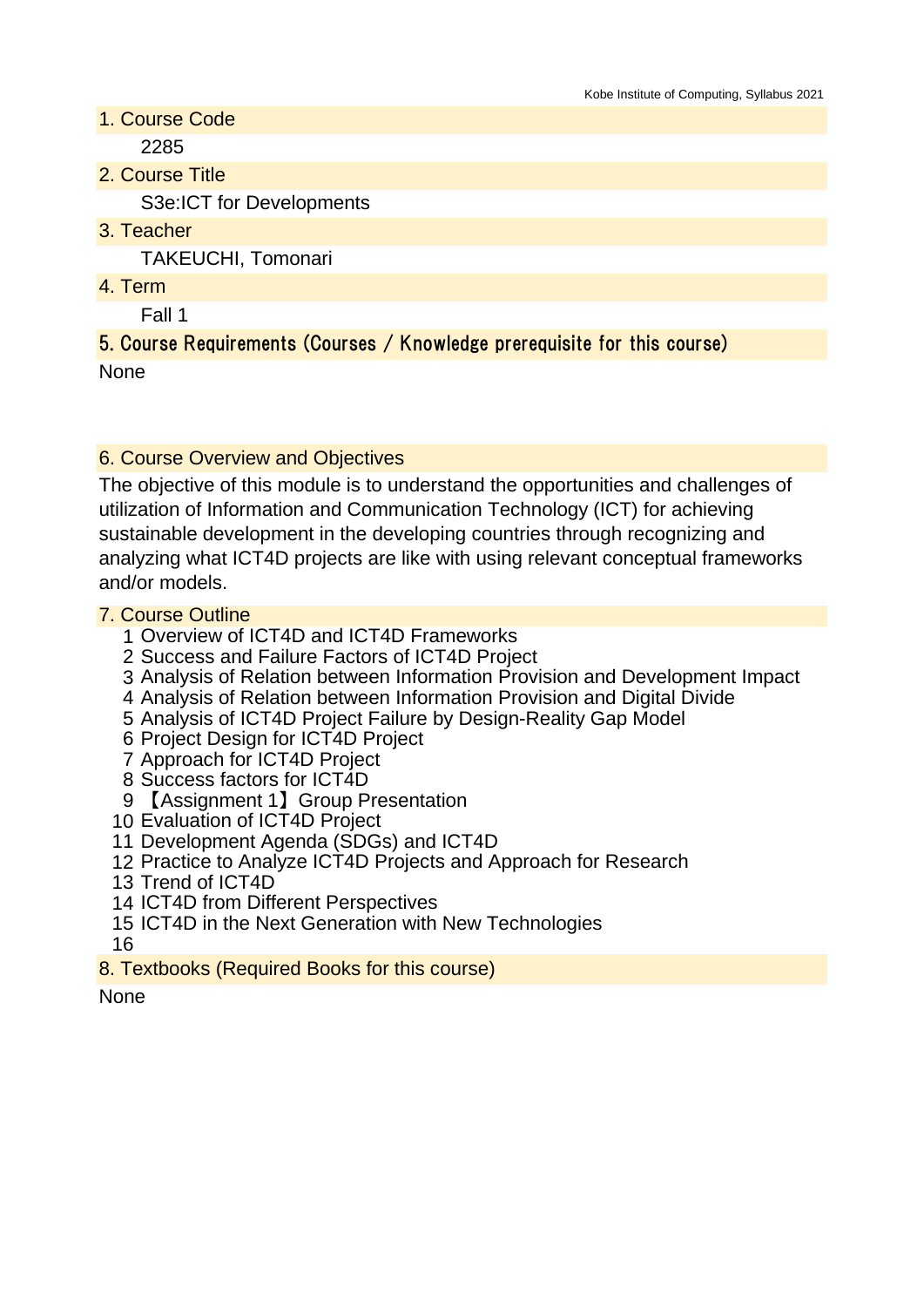- 1. Course Code 2285
- 2. Course Title

S3e:ICT for Developments

3. Teacher

TAKEUCHI, Tomonari

4. Term

Fall 1

### 5. Course Requirements (Courses / Knowledge prerequisite for this course) None

# 6. Course Overview and Objectives

The objective of this module is to understand the opportunities and challenges of utilization of Information and Communication Technology (ICT) for achieving sustainable development in the developing countries through recognizing and analyzing what ICT4D projects are like with using relevant conceptual frameworks and/or models.

## 7. Course Outline

- 1 Overview of ICT4D and ICT4D Frameworks
- 2 Success and Failure Factors of ICT4D Project
- 3 Analysis of Relation between Information Provision and Development Impact
- 4 Analysis of Relation between Information Provision and Digital Divide
- 5 Analysis of ICT4D Project Failure by Design-Reality Gap Model
- 6 Project Design for ICT4D Project
- 7 Approach for ICT4D Project
- 8 Success factors for ICT4D
- 9 【Assignment 1】Group Presentation
- 10 Evaluation of ICT4D Project
- 11 Development Agenda (SDGs) and ICT4D
- 12 Practice to Analyze ICT4D Projects and Approach for Research
- 13 Trend of ICT4D
- 14 ICT4D from Different Perspectives
- 15 ICT4D in the Next Generation with New Technologies
- 16
- 8. Textbooks (Required Books for this course)

None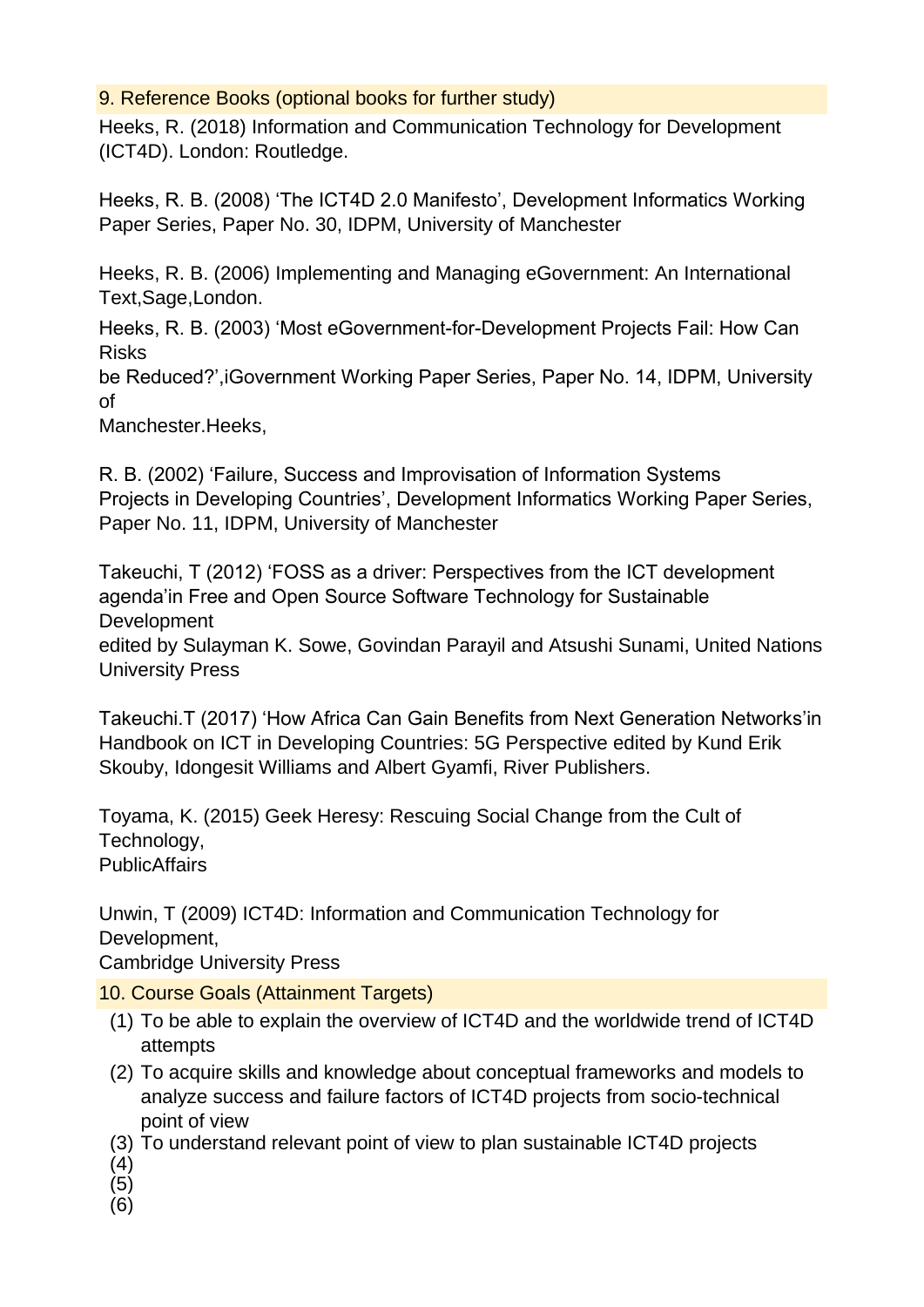## 9. Reference Books (optional books for further study)

Heeks, R. (2018) Information and Communication Technology for Development (ICT4D). London: Routledge.

Heeks, R. B. (2008) 'The ICT4D 2.0 Manifesto', Development Informatics Working Paper Series, Paper No. 30, IDPM, University of Manchester

Heeks, R. B. (2006) Implementing and Managing eGovernment: An International Text,Sage,London.

Heeks, R. B. (2003) 'Most eGovernment-for-Development Projects Fail: How Can Risks

be Reduced?',iGovernment Working Paper Series, Paper No. 14, IDPM, University of

Manchester.Heeks,

R. B. (2002) 'Failure, Success and Improvisation of Information Systems Projects in Developing Countries', Development Informatics Working Paper Series, Paper No. 11, IDPM, University of Manchester

Takeuchi, T (2012) 'FOSS as a driver: Perspectives from the ICT development agenda'in Free and Open Source Software Technology for Sustainable **Development** 

edited by Sulayman K. Sowe, Govindan Parayil and Atsushi Sunami, United Nations University Press

Takeuchi.T (2017) 'How Africa Can Gain Benefits from Next Generation Networks'in Handbook on ICT in Developing Countries: 5G Perspective edited by Kund Erik Skouby, Idongesit Williams and Albert Gyamfi, River Publishers.

Toyama, K. (2015) Geek Heresy: Rescuing Social Change from the Cult of Technology, **PublicAffairs** 

Unwin, T (2009) ICT4D: Information and Communication Technology for Development,

Cambridge University Press

10. Course Goals (Attainment Targets)

- (1) To be able to explain the overview of ICT4D and the worldwide trend of ICT4D attempts
- (2) To acquire skills and knowledge about conceptual frameworks and models to analyze success and failure factors of ICT4D projects from socio-technical point of view
- (3) To understand relevant point of view to plan sustainable ICT4D projects
- (4)
- (5)
- (6)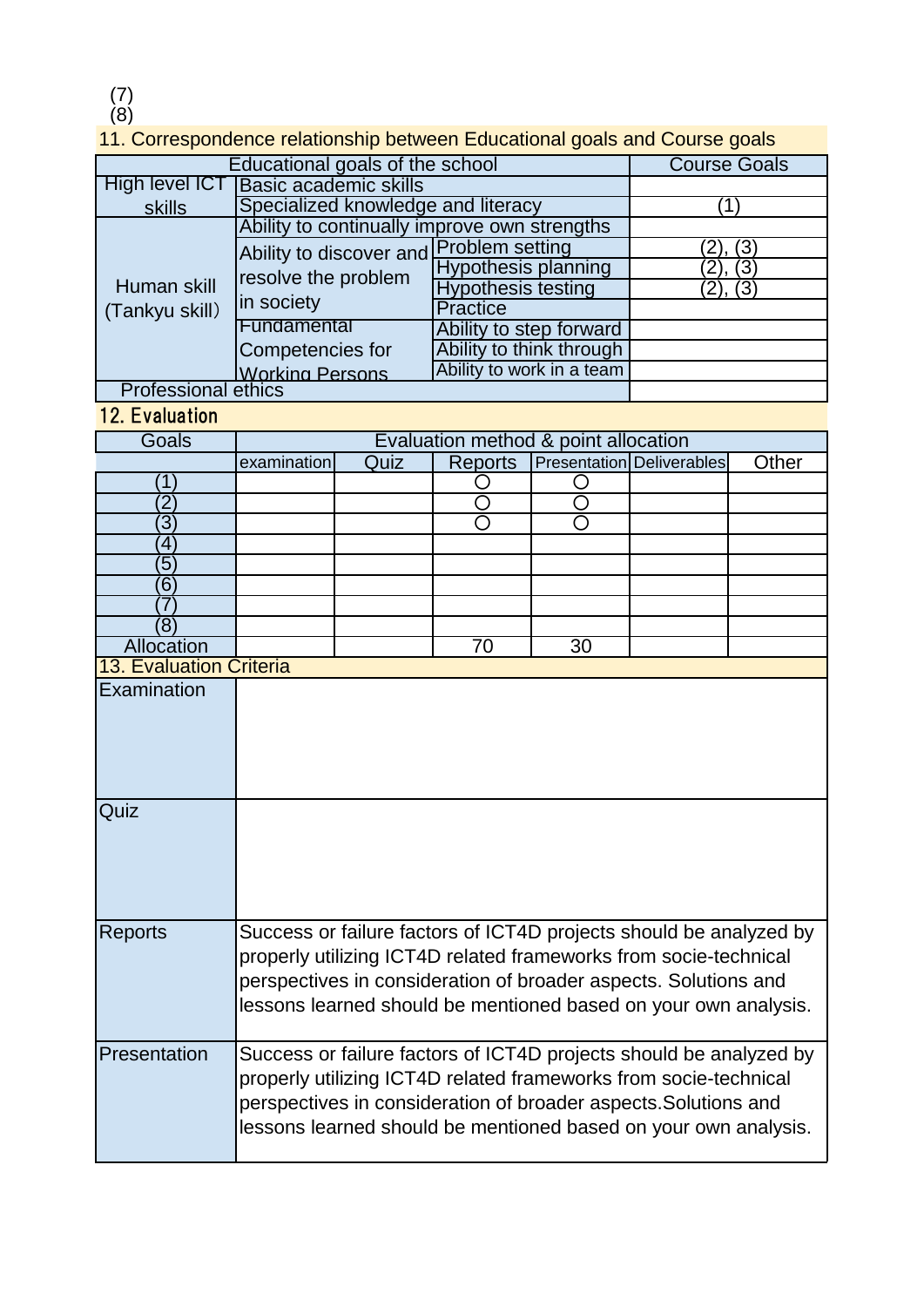(7)

(8)

# 11. Correspondence relationship between Educational goals and Course goals

|                                | Educational goals of the school                                                                                                        |                                      | <b>Course Goals</b>        |    |                                  |       |  |
|--------------------------------|----------------------------------------------------------------------------------------------------------------------------------------|--------------------------------------|----------------------------|----|----------------------------------|-------|--|
| <b>High level ICT</b>          | <b>Basic academic skills</b>                                                                                                           |                                      |                            |    |                                  |       |  |
| <b>skills</b>                  | Specialized knowledge and literacy                                                                                                     |                                      | (1)                        |    |                                  |       |  |
|                                | Ability to continually improve own strengths                                                                                           |                                      |                            |    |                                  |       |  |
|                                | Ability to discover and                                                                                                                |                                      | <b>Problem setting</b>     |    | (3<br>2                          |       |  |
|                                | resolve the problem<br>in society                                                                                                      |                                      | <b>Hypothesis planning</b> |    | $\overline{3}$<br>2              |       |  |
| Human skill<br>(Tankyu skill)  |                                                                                                                                        |                                      | Hypothesis testing         |    | $\overline{\omega}$              |       |  |
|                                |                                                                                                                                        |                                      | <b>Practice</b>            |    |                                  |       |  |
|                                | Fundamental                                                                                                                            |                                      | Ability to step forward    |    |                                  |       |  |
|                                | Competencies for                                                                                                                       |                                      | Ability to think through   |    |                                  |       |  |
|                                | <b>Working Persons</b>                                                                                                                 |                                      | Ability to work in a team  |    |                                  |       |  |
| <b>Professional ethics</b>     |                                                                                                                                        |                                      |                            |    |                                  |       |  |
| <b>12. Evaluation</b>          |                                                                                                                                        |                                      |                            |    |                                  |       |  |
| Goals                          |                                                                                                                                        | Evaluation method & point allocation |                            |    |                                  |       |  |
|                                | examination                                                                                                                            | Quiz                                 | <b>Reports</b>             |    | <b>Presentation Deliverables</b> | Other |  |
| 1                              |                                                                                                                                        |                                      |                            |    |                                  |       |  |
| $\overline{2}$                 |                                                                                                                                        |                                      | ∩                          |    |                                  |       |  |
| $\overline{3}$                 |                                                                                                                                        |                                      | ∩                          | ∩  |                                  |       |  |
| $\overline{4}$                 |                                                                                                                                        |                                      |                            |    |                                  |       |  |
| $\overline{5}$                 |                                                                                                                                        |                                      |                            |    |                                  |       |  |
| $\overline{6}$                 |                                                                                                                                        |                                      |                            |    |                                  |       |  |
| 7                              |                                                                                                                                        |                                      |                            |    |                                  |       |  |
| (8)                            |                                                                                                                                        |                                      |                            |    |                                  |       |  |
| Allocation                     |                                                                                                                                        |                                      | 70                         | 30 |                                  |       |  |
| <b>13. Evaluation Criteria</b> |                                                                                                                                        |                                      |                            |    |                                  |       |  |
| Examination                    |                                                                                                                                        |                                      |                            |    |                                  |       |  |
|                                |                                                                                                                                        |                                      |                            |    |                                  |       |  |
|                                |                                                                                                                                        |                                      |                            |    |                                  |       |  |
|                                |                                                                                                                                        |                                      |                            |    |                                  |       |  |
|                                |                                                                                                                                        |                                      |                            |    |                                  |       |  |
|                                |                                                                                                                                        |                                      |                            |    |                                  |       |  |
| Quiz                           |                                                                                                                                        |                                      |                            |    |                                  |       |  |
|                                |                                                                                                                                        |                                      |                            |    |                                  |       |  |
|                                |                                                                                                                                        |                                      |                            |    |                                  |       |  |
|                                |                                                                                                                                        |                                      |                            |    |                                  |       |  |
|                                |                                                                                                                                        |                                      |                            |    |                                  |       |  |
|                                |                                                                                                                                        |                                      |                            |    |                                  |       |  |
| <b>Reports</b>                 | Success or failure factors of ICT4D projects should be analyzed by                                                                     |                                      |                            |    |                                  |       |  |
|                                | properly utilizing ICT4D related frameworks from socie-technical                                                                       |                                      |                            |    |                                  |       |  |
|                                | perspectives in consideration of broader aspects. Solutions and                                                                        |                                      |                            |    |                                  |       |  |
|                                |                                                                                                                                        |                                      |                            |    |                                  |       |  |
|                                | lessons learned should be mentioned based on your own analysis.                                                                        |                                      |                            |    |                                  |       |  |
| Presentation                   |                                                                                                                                        |                                      |                            |    |                                  |       |  |
|                                | Success or failure factors of ICT4D projects should be analyzed by<br>properly utilizing ICT4D related frameworks from socie-technical |                                      |                            |    |                                  |       |  |
|                                | perspectives in consideration of broader aspects. Solutions and<br>lessons learned should be mentioned based on your own analysis.     |                                      |                            |    |                                  |       |  |
|                                |                                                                                                                                        |                                      |                            |    |                                  |       |  |
|                                |                                                                                                                                        |                                      |                            |    |                                  |       |  |
|                                |                                                                                                                                        |                                      |                            |    |                                  |       |  |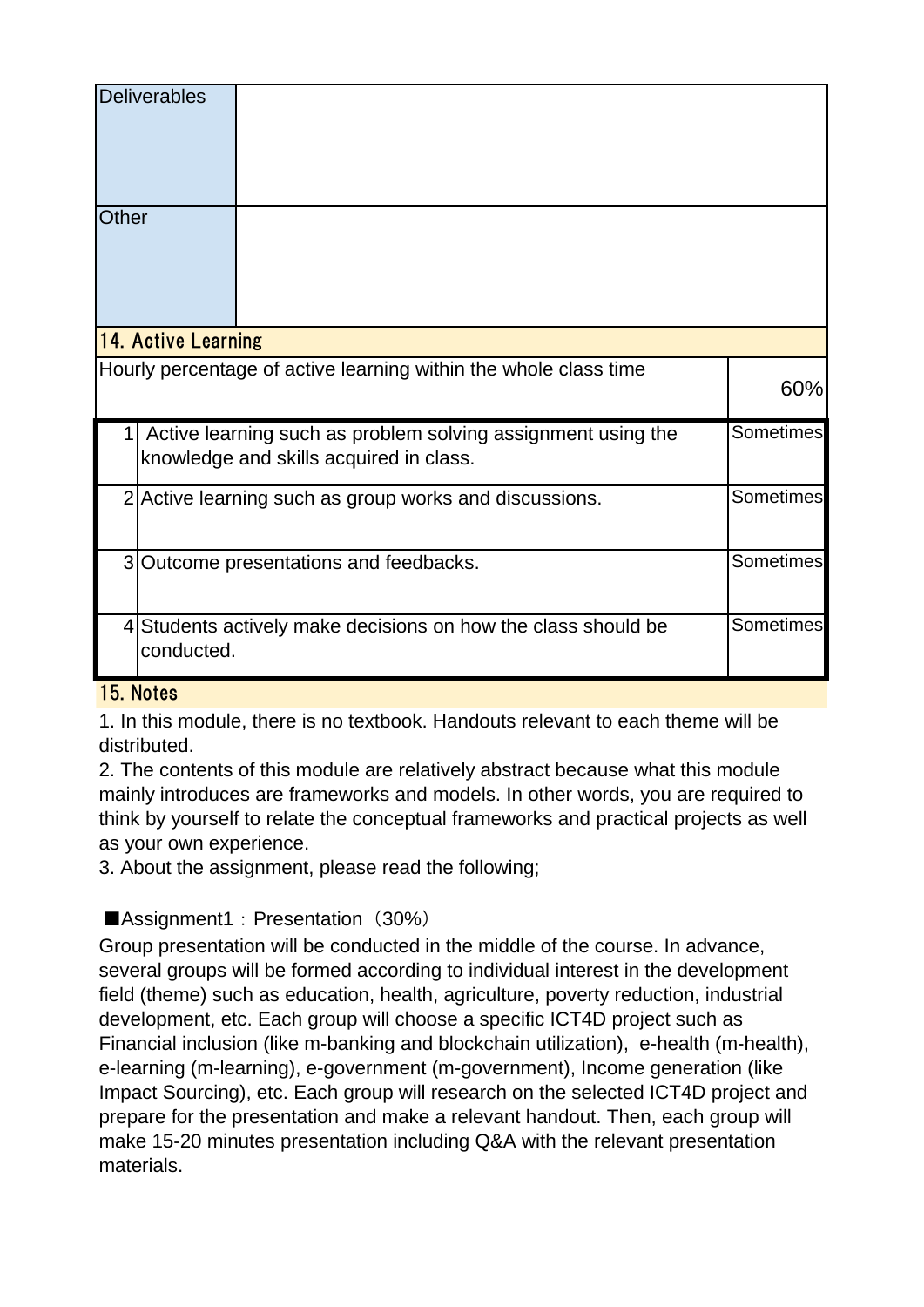|                                                                                                                                    | <b>Deliverables</b>                                                                             |                                                                  |     |  |  |  |
|------------------------------------------------------------------------------------------------------------------------------------|-------------------------------------------------------------------------------------------------|------------------------------------------------------------------|-----|--|--|--|
| Other                                                                                                                              |                                                                                                 |                                                                  |     |  |  |  |
| 14. Active Learning                                                                                                                |                                                                                                 |                                                                  |     |  |  |  |
|                                                                                                                                    |                                                                                                 | Hourly percentage of active learning within the whole class time | 60% |  |  |  |
| <b>Sometimes</b><br>Active learning such as problem solving assignment using the<br>1  <br>knowledge and skills acquired in class. |                                                                                                 |                                                                  |     |  |  |  |
|                                                                                                                                    | Sometimes<br>2 Active learning such as group works and discussions.                             |                                                                  |     |  |  |  |
|                                                                                                                                    | <b>Sometimes</b><br>3 Outcome presentations and feedbacks.                                      |                                                                  |     |  |  |  |
|                                                                                                                                    | <b>Sometimes</b><br>4 Students actively make decisions on how the class should be<br>conducted. |                                                                  |     |  |  |  |

#### 15. Notes

1. In this module, there is no textbook. Handouts relevant to each theme will be distributed.

2. The contents of this module are relatively abstract because what this module mainly introduces are frameworks and models. In other words, you are required to think by yourself to relate the conceptual frameworks and practical projects as well as your own experience.

3. About the assignment, please read the following;

## ■Assignment1: Presentation (30%)

Group presentation will be conducted in the middle of the course. In advance, several groups will be formed according to individual interest in the development field (theme) such as education, health, agriculture, poverty reduction, industrial development, etc. Each group will choose a specific ICT4D project such as Financial inclusion (like m-banking and blockchain utilization), e-health (m-health), e-learning (m-learning), e-government (m-government), Income generation (like Impact Sourcing), etc. Each group will research on the selected ICT4D project and prepare for the presentation and make a relevant handout. Then, each group will make 15-20 minutes presentation including Q&A with the relevant presentation materials.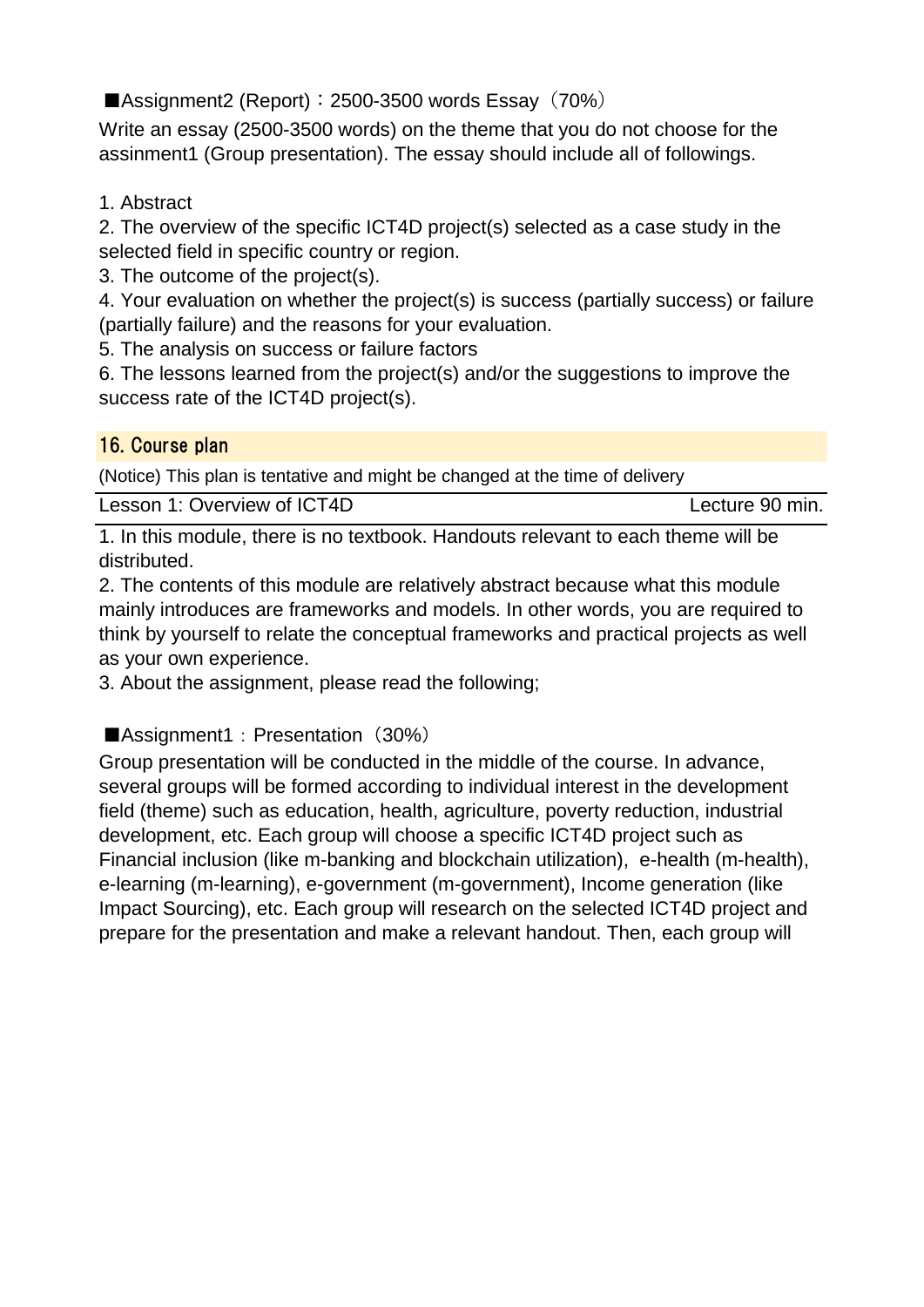Assignment2 (Report):  $2500-3500$  words Essay (70%)

Write an essay (2500-3500 words) on the theme that you do not choose for the assinment1 (Group presentation). The essay should include all of followings.

## 1. Abstract

2. The overview of the specific ICT4D project(s) selected as a case study in the selected field in specific country or region.

3. The outcome of the project(s).

4. Your evaluation on whether the project(s) is success (partially success) or failure (partially failure) and the reasons for your evaluation.

5. The analysis on success or failure factors

6. The lessons learned from the project(s) and/or the suggestions to improve the success rate of the ICT4D project(s).

## 16. Course plan

(Notice) This plan is tentative and might be changed at the time of delivery

1. In this module, there is no textbook. Handouts relevant to each theme will be distributed.

2. The contents of this module are relatively abstract because what this module mainly introduces are frameworks and models. In other words, you are required to think by yourself to relate the conceptual frameworks and practical projects as well as your own experience.

3. About the assignment, please read the following;

# ■Assignment1: Presentation (30%)

Group presentation will be conducted in the middle of the course. In advance, several groups will be formed according to individual interest in the development field (theme) such as education, health, agriculture, poverty reduction, industrial development, etc. Each group will choose a specific ICT4D project such as Financial inclusion (like m-banking and blockchain utilization), e-health (m-health), e-learning (m-learning), e-government (m-government), Income generation (like Impact Sourcing), etc. Each group will research on the selected ICT4D project and prepare for the presentation and make a relevant handout. Then, each group will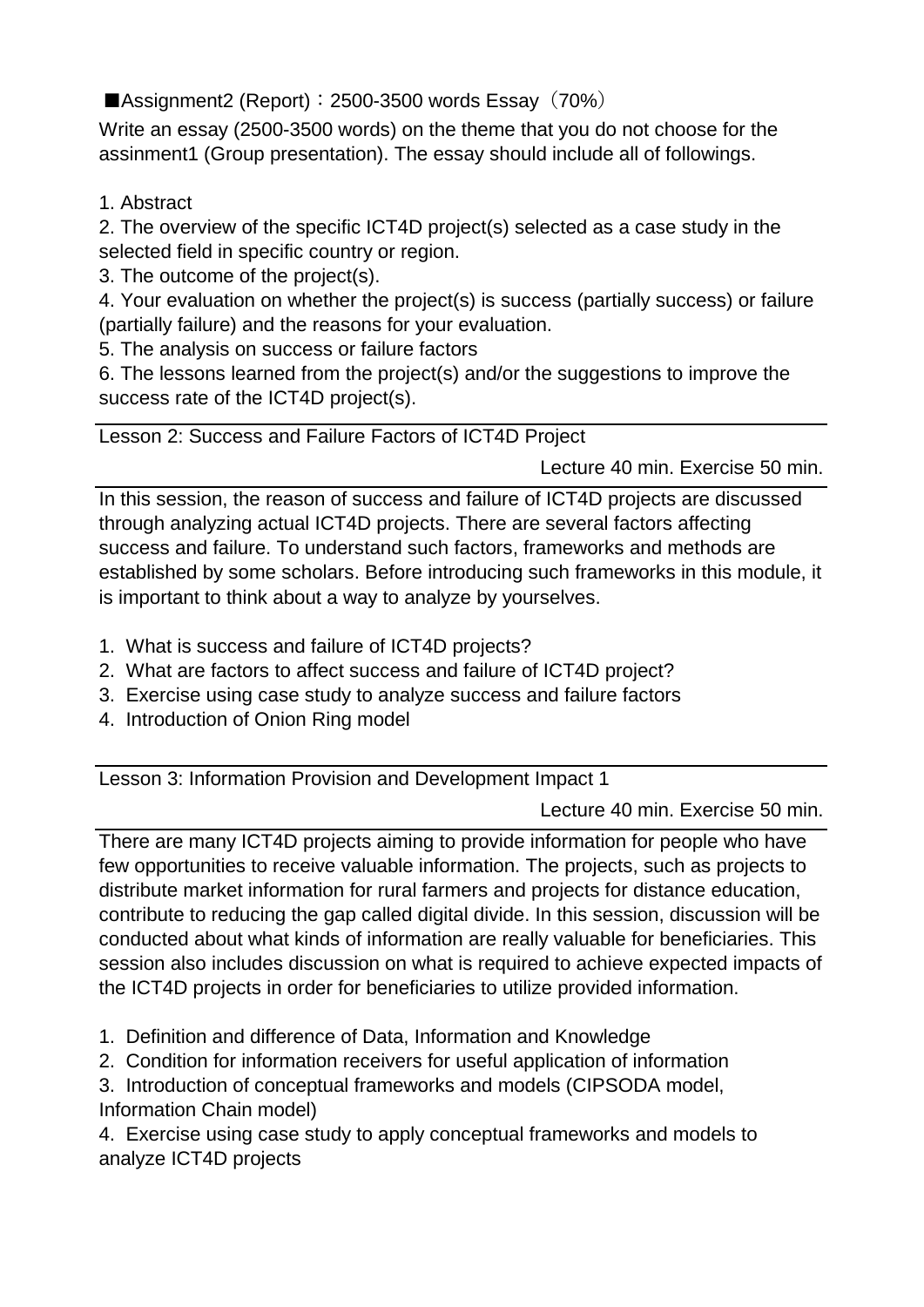Assignment2 (Report):  $2500-3500$  words Essay (70%)

Write an essay (2500-3500 words) on the theme that you do not choose for the assinment1 (Group presentation). The essay should include all of followings.

1. Abstract

2. The overview of the specific ICT4D project(s) selected as a case study in the selected field in specific country or region.

3. The outcome of the project(s).

4. Your evaluation on whether the project(s) is success (partially success) or failure (partially failure) and the reasons for your evaluation.

5. The analysis on success or failure factors

6. The lessons learned from the project(s) and/or the suggestions to improve the success rate of the ICT4D project(s).

Lesson 2: Success and Failure Factors of ICT4D Project

Lecture 40 min. Exercise 50 min.

In this session, the reason of success and failure of ICT4D projects are discussed through analyzing actual ICT4D projects. There are several factors affecting success and failure. To understand such factors, frameworks and methods are established by some scholars. Before introducing such frameworks in this module, it is important to think about a way to analyze by yourselves.

- 1. What is success and failure of ICT4D projects?
- 2. What are factors to affect success and failure of ICT4D project?
- 3. Exercise using case study to analyze success and failure factors
- 4. Introduction of Onion Ring model

Lesson 3: Information Provision and Development Impact 1

Lecture 40 min. Exercise 50 min.

There are many ICT4D projects aiming to provide information for people who have few opportunities to receive valuable information. The projects, such as projects to distribute market information for rural farmers and projects for distance education, contribute to reducing the gap called digital divide. In this session, discussion will be conducted about what kinds of information are really valuable for beneficiaries. This session also includes discussion on what is required to achieve expected impacts of the ICT4D projects in order for beneficiaries to utilize provided information.

- 1. Definition and difference of Data, Information and Knowledge
- 2. Condition for information receivers for useful application of information

3. Introduction of conceptual frameworks and models (CIPSODA model, Information Chain model)

4. Exercise using case study to apply conceptual frameworks and models to analyze ICT4D projects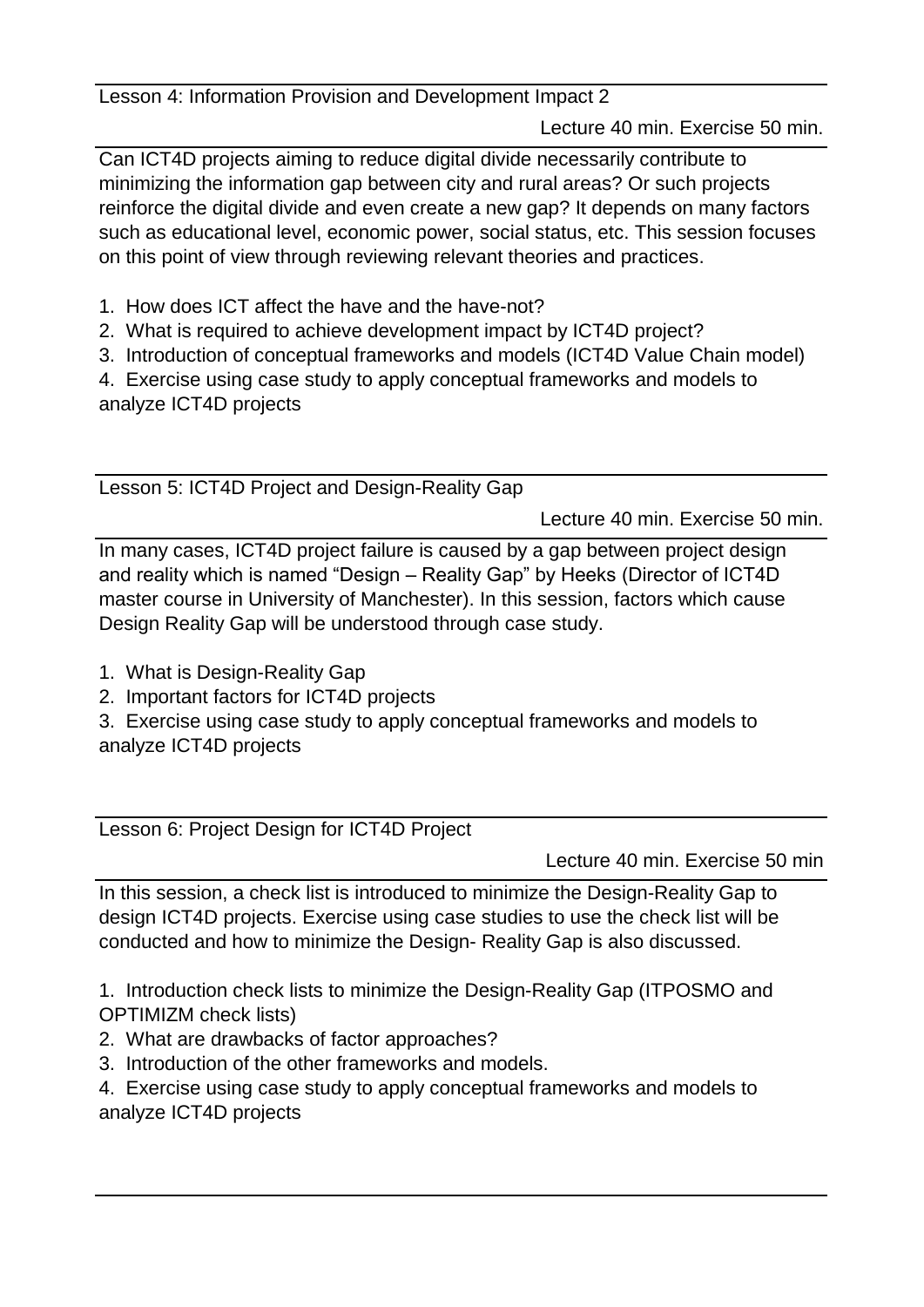Lesson 4: Information Provision and Development Impact 2

Lecture 40 min. Exercise 50 min.

Can ICT4D projects aiming to reduce digital divide necessarily contribute to minimizing the information gap between city and rural areas? Or such projects reinforce the digital divide and even create a new gap? It depends on many factors such as educational level, economic power, social status, etc. This session focuses on this point of view through reviewing relevant theories and practices.

- 1. How does ICT affect the have and the have-not?
- 2. What is required to achieve development impact by ICT4D project?
- 3. Introduction of conceptual frameworks and models (ICT4D Value Chain model)

4. Exercise using case study to apply conceptual frameworks and models to analyze ICT4D projects

Lesson 5: ICT4D Project and Design-Reality Gap

Lecture 40 min. Exercise 50 min.

In many cases, ICT4D project failure is caused by a gap between project design and reality which is named "Design – Reality Gap" by Heeks (Director of ICT4D master course in University of Manchester). In this session, factors which cause Design Reality Gap will be understood through case study.

- 1. What is Design-Reality Gap
- 2. Important factors for ICT4D projects

3. Exercise using case study to apply conceptual frameworks and models to analyze ICT4D projects

Lesson 6: Project Design for ICT4D Project

Lecture 40 min. Exercise 50 min

In this session, a check list is introduced to minimize the Design-Reality Gap to design ICT4D projects. Exercise using case studies to use the check list will be conducted and how to minimize the Design- Reality Gap is also discussed.

1. Introduction check lists to minimize the Design-Reality Gap (ITPOSMO and OPTIMIZM check lists)

- 2. What are drawbacks of factor approaches?
- 3. Introduction of the other frameworks and models.
- 4. Exercise using case study to apply conceptual frameworks and models to analyze ICT4D projects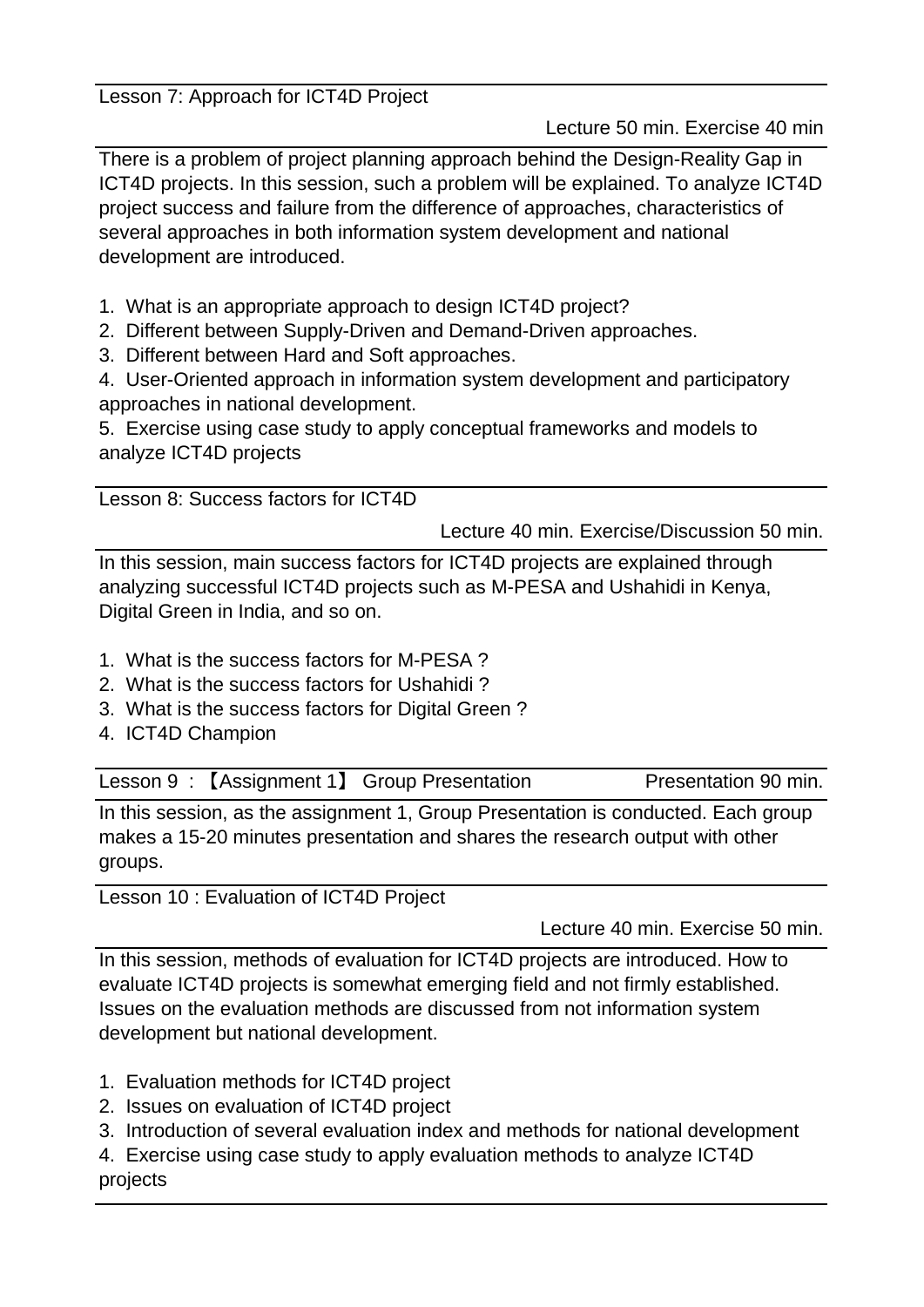Lesson 7: Approach for ICT4D Project

Lecture 50 min. Exercise 40 min

There is a problem of project planning approach behind the Design-Reality Gap in ICT4D projects. In this session, such a problem will be explained. To analyze ICT4D project success and failure from the difference of approaches, characteristics of several approaches in both information system development and national development are introduced.

- 1. What is an appropriate approach to design ICT4D project?
- 2. Different between Supply-Driven and Demand-Driven approaches.
- 3. Different between Hard and Soft approaches.

4. User-Oriented approach in information system development and participatory approaches in national development.

5. Exercise using case study to apply conceptual frameworks and models to analyze ICT4D projects

Lesson 8: Success factors for ICT4D

Lecture 40 min. Exercise/Discussion 50 min.

In this session, main success factors for ICT4D projects are explained through analyzing successful ICT4D projects such as M-PESA and Ushahidi in Kenya, Digital Green in India, and so on.

- 1. What is the success factors for M-PESA ?
- 2. What is the success factors for Ushahidi ?
- 3. What is the success factors for Digital Green ?
- 4. ICT4D Champion

Lesson 9: [Assignment 1] Group Presentation Presentation 90 min.

In this session, as the assignment 1, Group Presentation is conducted. Each group makes a 15-20 minutes presentation and shares the research output with other groups.

Lesson 10 : Evaluation of ICT4D Project

Lecture 40 min. Exercise 50 min.

In this session, methods of evaluation for ICT4D projects are introduced. How to evaluate ICT4D projects is somewhat emerging field and not firmly established. Issues on the evaluation methods are discussed from not information system development but national development.

- 1. Evaluation methods for ICT4D project
- 2. Issues on evaluation of ICT4D project
- 3. Introduction of several evaluation index and methods for national development
- 4. Exercise using case study to apply evaluation methods to analyze ICT4D projects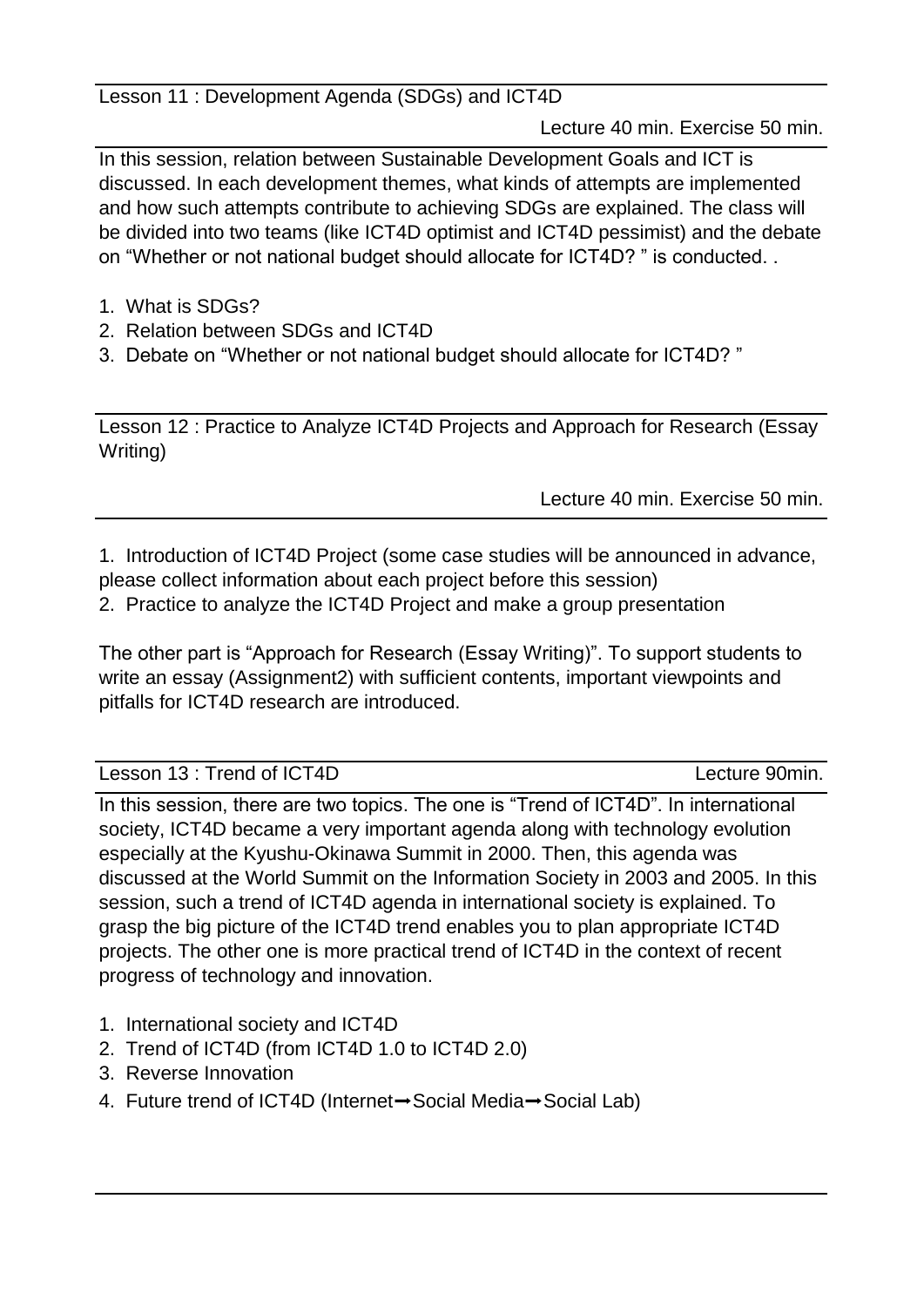Lesson 11 : Development Agenda (SDGs) and ICT4D

Lecture 40 min. Exercise 50 min.

In this session, relation between Sustainable Development Goals and ICT is discussed. In each development themes, what kinds of attempts are implemented and how such attempts contribute to achieving SDGs are explained. The class will be divided into two teams (like ICT4D optimist and ICT4D pessimist) and the debate on "Whether or not national budget should allocate for ICT4D? " is conducted. .

- 1. What is SDGs?
- 2. Relation between SDGs and ICT4D
- 3. Debate on "Whether or not national budget should allocate for ICT4D? "

Lesson 12 : Practice to Analyze ICT4D Projects and Approach for Research (Essay Writing)

Lecture 40 min. Exercise 50 min.

1. Introduction of ICT4D Project (some case studies will be announced in advance, please collect information about each project before this session)

2. Practice to analyze the ICT4D Project and make a group presentation

The other part is "Approach for Research (Essay Writing)". To support students to write an essay (Assignment2) with sufficient contents, important viewpoints and pitfalls for ICT4D research are introduced.

Lesson 13 : Trend of ICT4D Lecture 90min.

In this session, there are two topics. The one is "Trend of ICT4D". In international society, ICT4D became a very important agenda along with technology evolution especially at the Kyushu-Okinawa Summit in 2000. Then, this agenda was discussed at the World Summit on the Information Society in 2003 and 2005. In this session, such a trend of ICT4D agenda in international society is explained. To grasp the big picture of the ICT4D trend enables you to plan appropriate ICT4D projects. The other one is more practical trend of ICT4D in the context of recent progress of technology and innovation.

- 1. International society and ICT4D
- 2. Trend of ICT4D (from ICT4D 1.0 to ICT4D 2.0)
- 3. Reverse Innovation
- 4. Future trend of ICT4D (Internet→Social Media→Social Lab)